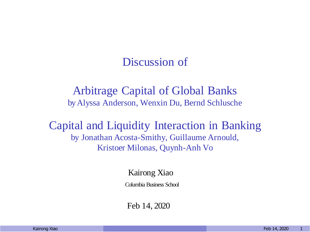#### Discussion of

#### Arbitrage Capital of Global Banks byAlyssa Anderson, Wenxin Du, Bernd Schlusche

Capital and Liquidity Interaction in Banking by Jonathan Acosta-Smithy, Guillaume Arnould, Kristoer Milonas, Quynh-Anh Vo

Kairong Xiao

Columbia Business School

Feb 14, 2020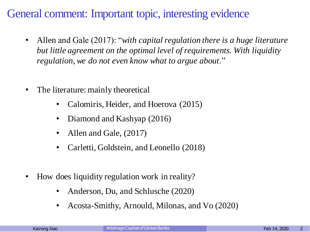# General comment: Important topic, interesting evidence

- Allen and Gale (2017): "*with capital regulation there is a huge literature but little agreement on the optimal level of requirements. With liquidity regulation, we do not even know what to argue about*."
- The literature: mainly theoretical
	- Calomiris, Heider, and Hoerova (2015)
	- Diamond and Kashyap (2016)
	- Allen and Gale, (2017)
	- Carletti, Goldstein, and Leonello (2018)
- How does liquidity regulation work in reality?
	- Anderson, Du, and Schlusche (2020)
	- Acosta-Smithy, Arnould, Milonas, and Vo (2020)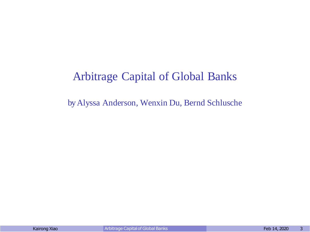## Arbitrage Capital of Global Banks

byAlyssa Anderson, Wenxin Du, Bernd Schlusche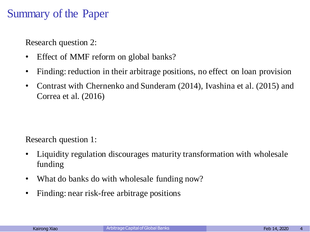### Summary of the Paper

Research question 2:

- Effect of MMF reform on global banks?
- Finding: reduction in their arbitrage positions, no effect on loan provision
- Contrast with Chernenko and Sunderam (2014), Ivashina et al. (2015) and Correa et al. (2016)

Research question 1:

- Liquidity regulation discourages maturity transformation with wholesale funding
- What do banks do with wholesale funding now?
- Finding: near risk-free arbitrage positions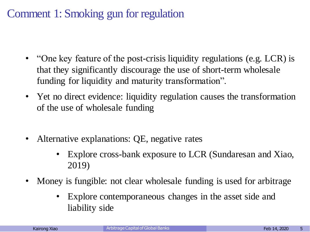# Comment 1: Smoking gun for regulation

- "One key feature of the post-crisis liquidity regulations (e.g. LCR) is that they significantly discourage the use of short-term wholesale funding for liquidity and maturity transformation".
- Yet no direct evidence: liquidity regulation causes the transformation of the use of wholesale funding
- Alternative explanations: QE, negative rates
	- Explore cross-bank exposure to LCR (Sundaresan and Xiao, 2019)
- Money is fungible: not clear wholesale funding is used for arbitrage
	- Explore contemporaneous changes in the asset side and liability side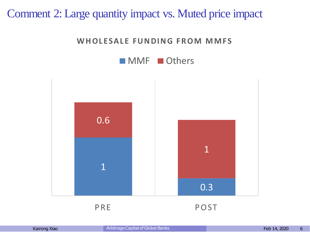#### Comment 2: Large quantity impact vs. Muted price impact

#### WHOLESALE FUNDING FROM MMFS



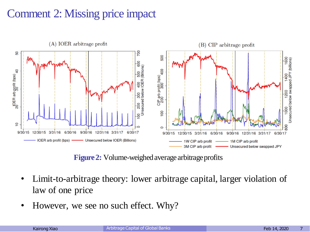# Comment 2: Missing price impact



**Figure 2:** Volume-weighed average arbitrage profits

- Limit-to-arbitrage theory: lower arbitrage capital, larger violation of law of one price
- However, we see no such effect. Why?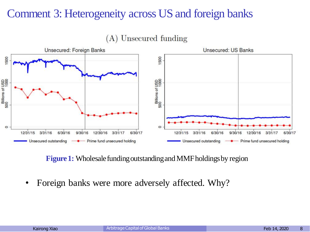### Comment 3: Heterogeneity across US and foreign banks



(A) Unsecured funding

**Figure 1:** Wholesale funding outstanding and MMF holdings by region

Foreign banks were more adversely affected. Why?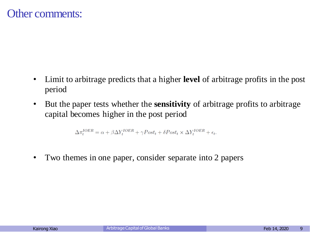- Limit to arbitrage predicts that a higher **level** of arbitrage profits in the post period
- But the paper tests whether the **sensitivity** of arbitrage profits to arbitrage capital becomes higher in the post period

$$
\Delta \pi_t^{IOER} = \alpha + \beta \Delta Y_t^{IOER} + \gamma Post_t + \delta Post_t \times \Delta Y_t^{IOER} + \epsilon_t.
$$

• Two themes in one paper, consider separate into 2 papers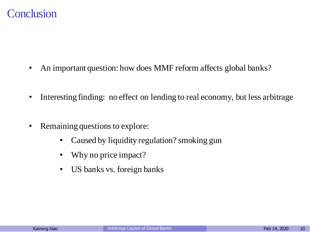#### **Conclusion**

- An important question: how does MMF reform affects global banks?
- Interesting finding: no effect on lending to real economy, but less arbitrage
- Remaining questions to explore:
	- Caused by liquidity regulation? smoking gun
	- Why no price impact?
	- US banks vs. foreign banks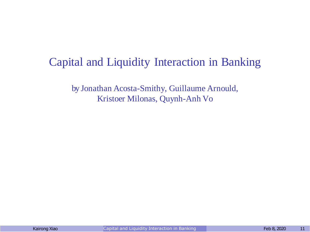# Capital and Liquidity Interaction in Banking

by Jonathan Acosta-Smithy, Guillaume Arnould, Kristoer Milonas, Quynh-Anh Vo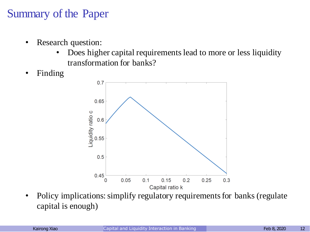# Summary of the Paper

- Research question:
	- Does higher capital requirements lead to more or less liquidity transformation for banks?
- Finding



• Policy implications: simplify regulatory requirements for banks (regulate) capital is enough)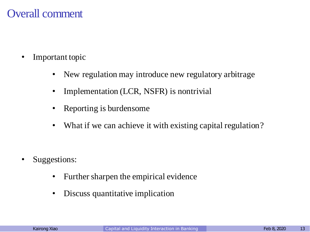#### Overall comment

- Important topic
	- New regulation may introduce new regulatory arbitrage
	- Implementation (LCR, NSFR) is nontrivial
	- Reporting is burdensome
	- What if we can achieve it with existing capital regulation?

- Suggestions:
	- Further sharpen the empirical evidence
	- Discuss quantitative implication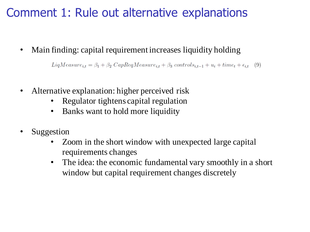# Comment 1: Rule out alternative explanations

Main finding: capital requirement increases liquidity holding

 $LiqMeasure_{it} = \beta_1 + \beta_2 CapRegMeasure_{it} + \beta_3 controls_{it-1} + u_i + time_t + \epsilon_{it}$  (9)

- Alternative explanation: higher perceived risk
	- Regulator tightens capital regulation
	- Banks want to hold more liquidity
- **Suggestion** 
	- Zoom in the short window with unexpected large capital requirements changes
	- The idea: the economic fundamental vary smoothly in a short window but capital requirement changes discretely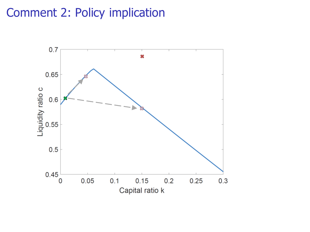# Comment 2: Policy implication

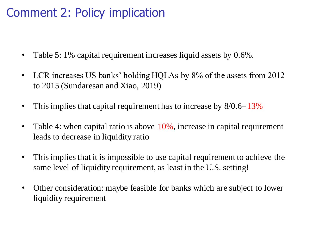# Comment 2: Policy implication

- Table 5: 1% capital requirement increases liquid assets by 0.6%.
- LCR increases US banks' holding HQLAs by 8% of the assets from 2012 to 2015 (Sundaresan and Xiao, 2019)
- This implies that capital requirement has to increase by  $8/0.6=13\%$
- Table 4: when capital ratio is above  $10\%$ , increase in capital requirement leads to decrease in liquidity ratio
- This implies that it is impossible to use capital requirement to achieve the same level of liquidity requirement, as least in the U.S. setting!
- Other consideration: maybe feasible for banks which are subject to lower liquidity requirement